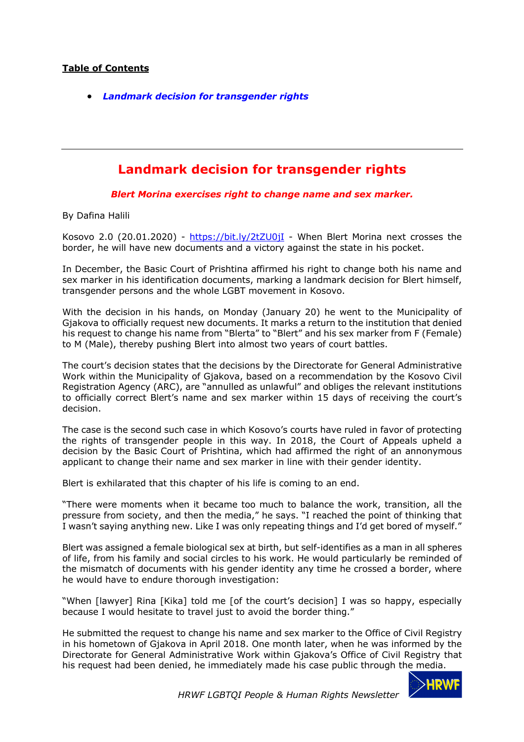## **Table of Contents**

• *Landmark decision for transgender rights*

## **Landmark decision for transgender rights**

*Blert Morina exercises right to change name and sex marker.* 

By Dafina Halili

Kosovo 2.0 (20.01.2020) - https://bit.ly/2tZU0jI - When Blert Morina next crosses the border, he will have new documents and a victory against the state in his pocket.

In December, the Basic Court of Prishtina affirmed his right to change both his name and sex marker in his identification documents, marking a landmark decision for Blert himself, transgender persons and the whole LGBT movement in Kosovo.

With the decision in his hands, on Monday (January 20) he went to the Municipality of Gjakova to officially request new documents. It marks a return to the institution that denied his request to change his name from "Blerta" to "Blert" and his sex marker from F (Female) to M (Male), thereby pushing Blert into almost two years of court battles.

The court's decision states that the decisions by the Directorate for General Administrative Work within the Municipality of Gjakova, based on a recommendation by the Kosovo Civil Registration Agency (ARC), are "annulled as unlawful" and obliges the relevant institutions to officially correct Blert's name and sex marker within 15 days of receiving the court's decision.

The case is the second such case in which Kosovo's courts have ruled in favor of protecting the rights of transgender people in this way. In 2018, the Court of Appeals upheld a decision by the Basic Court of Prishtina, which had affirmed the right of an annonymous applicant to change their name and sex marker in line with their gender identity.

Blert is exhilarated that this chapter of his life is coming to an end.

"There were moments when it became too much to balance the work, transition, all the pressure from society, and then the media," he says. "I reached the point of thinking that I wasn't saying anything new. Like I was only repeating things and I'd get bored of myself."

Blert was assigned a female biological sex at birth, but self-identifies as a man in all spheres of life, from his family and social circles to his work. He would particularly be reminded of the mismatch of documents with his gender identity any time he crossed a border, where he would have to endure thorough investigation:

"When [lawyer] Rina [Kika] told me [of the court's decision] I was so happy, especially because I would hesitate to travel just to avoid the border thing."

He submitted the request to change his name and sex marker to the Office of Civil Registry in his hometown of Gjakova in April 2018. One month later, when he was informed by the Directorate for General Administrative Work within Gjakova's Office of Civil Registry that his request had been denied, he immediately made his case public through the media.

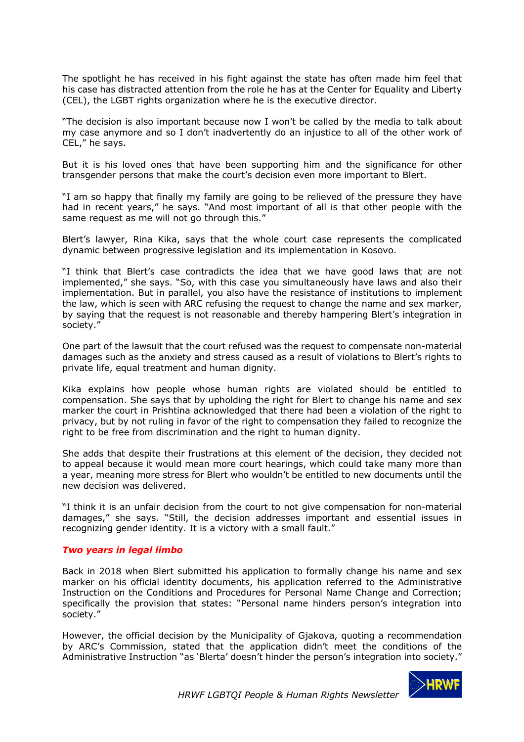The spotlight he has received in his fight against the state has often made him feel that his case has distracted attention from the role he has at the Center for Equality and Liberty (CEL), the LGBT rights organization where he is the executive director.

"The decision is also important because now I won't be called by the media to talk about my case anymore and so I don't inadvertently do an injustice to all of the other work of CEL," he says.

But it is his loved ones that have been supporting him and the significance for other transgender persons that make the court's decision even more important to Blert.

"I am so happy that finally my family are going to be relieved of the pressure they have had in recent years," he says. "And most important of all is that other people with the same request as me will not go through this."

Blert's lawyer, Rina Kika, says that the whole court case represents the complicated dynamic between progressive legislation and its implementation in Kosovo.

"I think that Blert's case contradicts the idea that we have good laws that are not implemented," she says. "So, with this case you simultaneously have laws and also their implementation. But in parallel, you also have the resistance of institutions to implement the law, which is seen with ARC refusing the request to change the name and sex marker, by saying that the request is not reasonable and thereby hampering Blert's integration in society."

One part of the lawsuit that the court refused was the request to compensate non-material damages such as the anxiety and stress caused as a result of violations to Blert's rights to private life, equal treatment and human dignity.

Kika explains how people whose human rights are violated should be entitled to compensation. She says that by upholding the right for Blert to change his name and sex marker the court in Prishtina acknowledged that there had been a violation of the right to privacy, but by not ruling in favor of the right to compensation they failed to recognize the right to be free from discrimination and the right to human dignity.

She adds that despite their frustrations at this element of the decision, they decided not to appeal because it would mean more court hearings, which could take many more than a year, meaning more stress for Blert who wouldn't be entitled to new documents until the new decision was delivered.

"I think it is an unfair decision from the court to not give compensation for non-material damages," she says. "Still, the decision addresses important and essential issues in recognizing gender identity. It is a victory with a small fault."

## *Two years in legal limbo*

Back in 2018 when Blert submitted his application to formally change his name and sex marker on his official identity documents, his application referred to the Administrative Instruction on the Conditions and Procedures for Personal Name Change and Correction; specifically the provision that states: "Personal name hinders person's integration into society."

However, the official decision by the Municipality of Gjakova, quoting a recommendation by ARC's Commission, stated that the application didn't meet the conditions of the Administrative Instruction "as 'Blerta' doesn't hinder the person's integration into society."

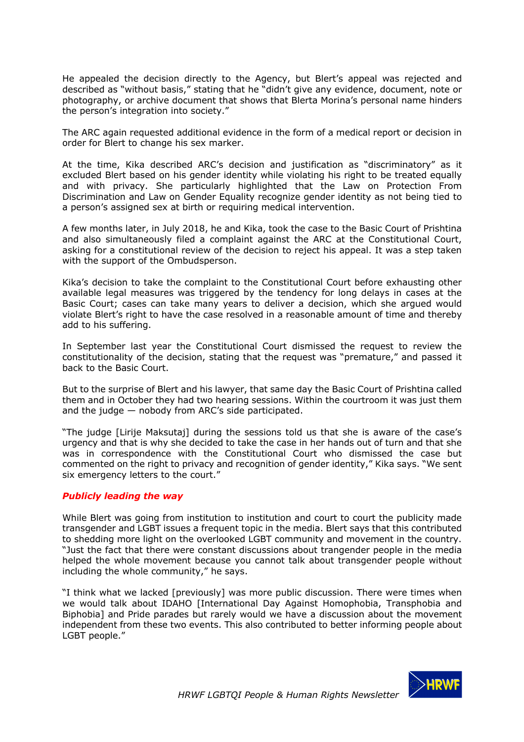He appealed the decision directly to the Agency, but Blert's appeal was rejected and described as "without basis," stating that he "didn't give any evidence, document, note or photography, or archive document that shows that Blerta Morina's personal name hinders the person's integration into society."

The ARC again requested additional evidence in the form of a medical report or decision in order for Blert to change his sex marker.

At the time, Kika described ARC's decision and justification as "discriminatory" as it excluded Blert based on his gender identity while violating his right to be treated equally and with privacy. She particularly highlighted that the Law on Protection From Discrimination and Law on Gender Equality recognize gender identity as not being tied to a person's assigned sex at birth or requiring medical intervention.

A few months later, in July 2018, he and Kika, took the case to the Basic Court of Prishtina and also simultaneously filed a complaint against the ARC at the Constitutional Court, asking for a constitutional review of the decision to reject his appeal. It was a step taken with the support of the Ombudsperson.

Kika's decision to take the complaint to the Constitutional Court before exhausting other available legal measures was triggered by the tendency for long delays in cases at the Basic Court; cases can take many years to deliver a decision, which she argued would violate Blert's right to have the case resolved in a reasonable amount of time and thereby add to his suffering.

In September last year the Constitutional Court dismissed the request to review the constitutionality of the decision, stating that the request was "premature," and passed it back to the Basic Court.

But to the surprise of Blert and his lawyer, that same day the Basic Court of Prishtina called them and in October they had two hearing sessions. Within the courtroom it was just them and the judge  $-$  nobody from ARC's side participated.

"The judge [Lirije Maksutaj] during the sessions told us that she is aware of the case's urgency and that is why she decided to take the case in her hands out of turn and that she was in correspondence with the Constitutional Court who dismissed the case but commented on the right to privacy and recognition of gender identity," Kika says. "We sent six emergency letters to the court."

## *Publicly leading the way*

While Blert was going from institution to institution and court to court the publicity made transgender and LGBT issues a frequent topic in the media. Blert says that this contributed to shedding more light on the overlooked LGBT community and movement in the country. "Just the fact that there were constant discussions about trangender people in the media helped the whole movement because you cannot talk about transgender people without including the whole community," he says.

"I think what we lacked [previously] was more public discussion. There were times when we would talk about IDAHO [International Day Against Homophobia, Transphobia and Biphobia] and Pride parades but rarely would we have a discussion about the movement independent from these two events. This also contributed to better informing people about LGBT people."